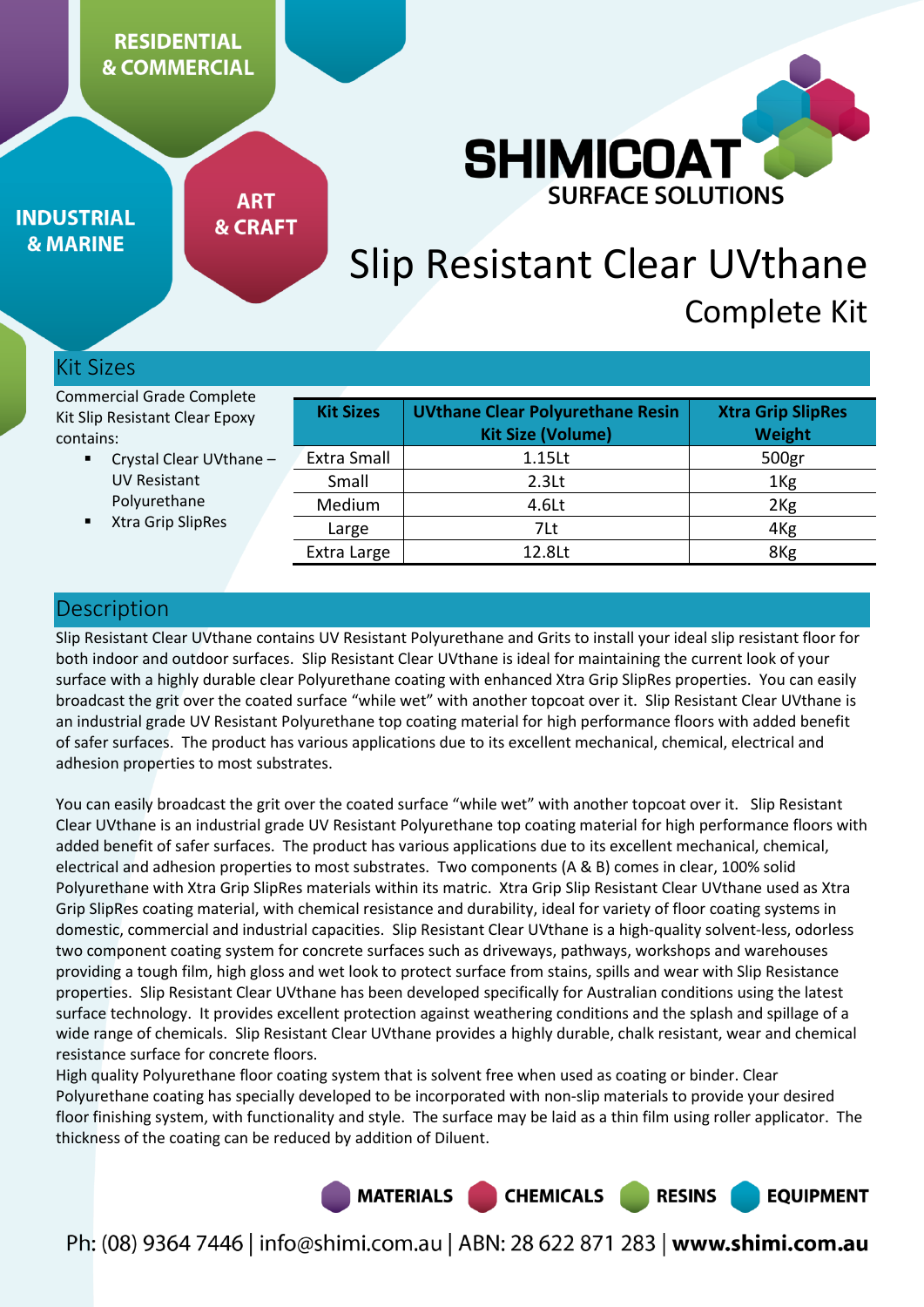# **RESIDENTIAL & COMMERCIAL**



**INDUSTRIAL & MARINE** 

**ART & CRAFT** 

# Slip Resistant Clear UVthane Complete Kit

## Kit Sizes

Commercial Grade Complete Kit Slip Resistant Clear Epoxy contains:

- Crystal Clear UVthane UV Resistant Polyurethane
- Xtra Grip SlipRes

| <b>Kit Sizes</b>   | <b>UVthane Clear Polyurethane Resin</b><br><b>Kit Size (Volume)</b> | <b>Xtra Grip SlipRes</b><br>Weight |
|--------------------|---------------------------------------------------------------------|------------------------------------|
| <b>Extra Small</b> | 1.15 <sub>kt</sub>                                                  | 500gr                              |
| Small              | 2.3 <sub>kt</sub>                                                   | 1 <sub>Kg</sub>                    |
| Medium             | 4.6Lt                                                               | 2 <sub>Kg</sub>                    |
| Large              | 7Lt                                                                 | 4 <sub>Kg</sub>                    |
| Extra Large        | 12.8Lt                                                              | 8Kg                                |

## Description

Slip Resistant Clear UVthane contains UV Resistant Polyurethane and Grits to install your ideal slip resistant floor for both indoor and outdoor surfaces. Slip Resistant Clear UVthane is ideal for maintaining the current look of your surface with a highly durable clear Polyurethane coating with enhanced Xtra Grip SlipRes properties. You can easily broadcast the grit over the coated surface "while wet" with another topcoat over it. Slip Resistant Clear UVthane is an industrial grade UV Resistant Polyurethane top coating material for high performance floors with added benefit of safer surfaces. The product has various applications due to its excellent mechanical, chemical, electrical and adhesion properties to most substrates.

You can easily broadcast the grit over the coated surface "while wet" with another topcoat over it. Slip Resistant Clear UVthane is an industrial grade UV Resistant Polyurethane top coating material for high performance floors with added benefit of safer surfaces. The product has various applications due to its excellent mechanical, chemical, electrical and adhesion properties to most substrates. Two components (A & B) comes in clear, 100% solid Polyurethane with Xtra Grip SlipRes materials within its matric. Xtra Grip Slip Resistant Clear UVthane used as Xtra Grip SlipRes coating material, with chemical resistance and durability, ideal for variety of floor coating systems in domestic, commercial and industrial capacities. Slip Resistant Clear UVthane is a high-quality solvent-less, odorless two component coating system for concrete surfaces such as driveways, pathways, workshops and warehouses providing a tough film, high gloss and wet look to protect surface from stains, spills and wear with Slip Resistance properties. Slip Resistant Clear UVthane has been developed specifically for Australian conditions using the latest surface technology. It provides excellent protection against weathering conditions and the splash and spillage of a wide range of chemicals. Slip Resistant Clear UVthane provides a highly durable, chalk resistant, wear and chemical resistance surface for concrete floors.

High quality Polyurethane floor coating system that is solvent free when used as coating or binder. Clear Polyurethane coating has specially developed to be incorporated with non-slip materials to provide your desired floor finishing system, with functionality and style. The surface may be laid as a thin film using roller applicator. The thickness of the coating can be reduced by addition of Diluent.

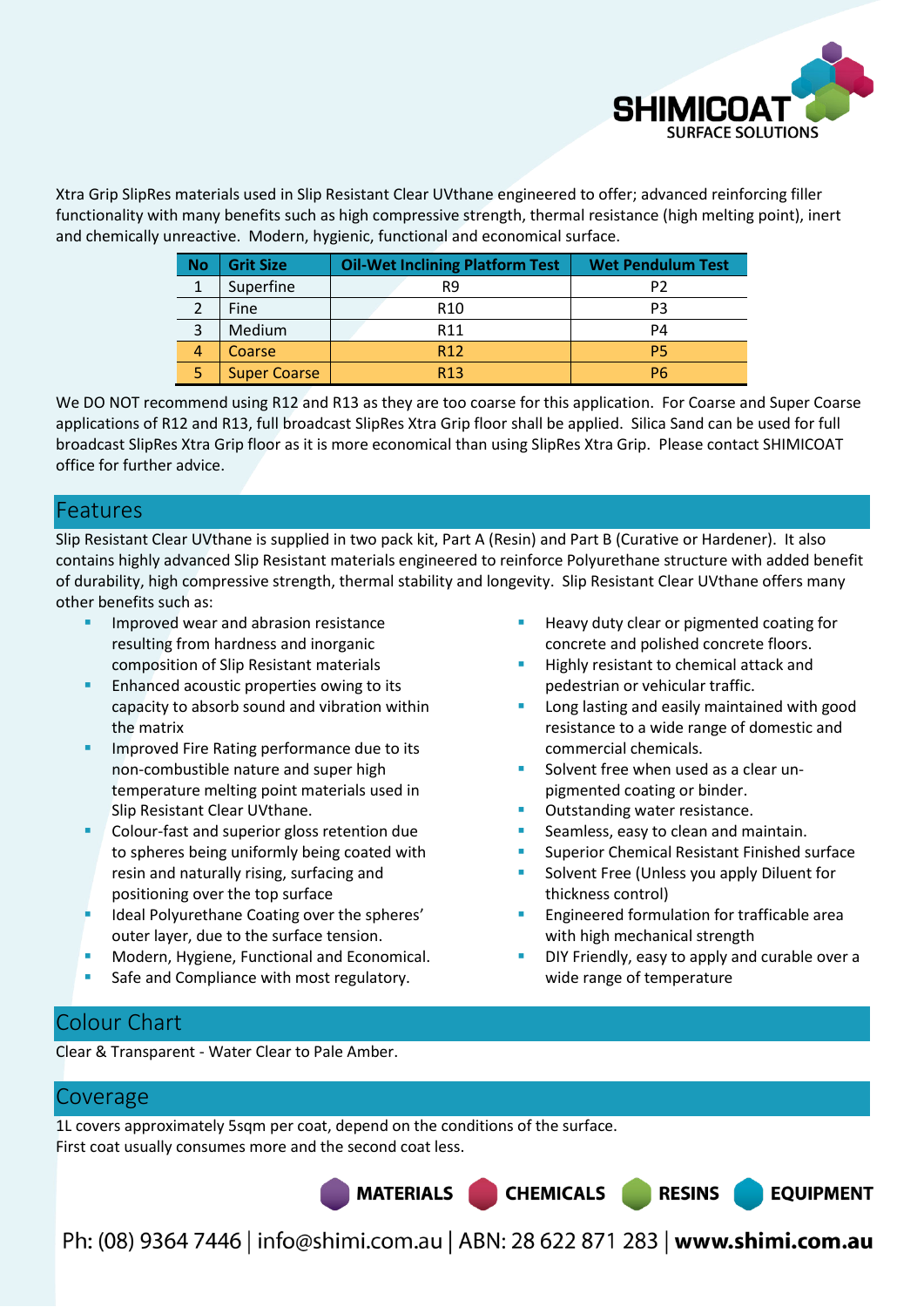

Xtra Grip SlipRes materials used in Slip Resistant Clear UVthane engineered to offer; advanced reinforcing filler functionality with many benefits such as high compressive strength, thermal resistance (high melting point), inert and chemically unreactive. Modern, hygienic, functional and economical surface.

| <b>No</b> | <b>Grit Size</b>    | <b>Oil-Wet Inclining Platform Test</b> | <b>Wet Pendulum Test</b> |  |
|-----------|---------------------|----------------------------------------|--------------------------|--|
| 1         | Superfine           | R9                                     | P2                       |  |
|           | <b>Fine</b>         | R <sub>10</sub>                        | PЗ                       |  |
| 3         | Medium              | R <sub>11</sub>                        | P4                       |  |
| 4         | Coarse              | R <sub>12</sub>                        | P5                       |  |
| 5         | <b>Super Coarse</b> | R <sub>13</sub>                        | P6                       |  |

We DO NOT recommend using R12 and R13 as they are too coarse for this application. For Coarse and Super Coarse applications of R12 and R13, full broadcast SlipRes Xtra Grip floor shall be applied. Silica Sand can be used for full broadcast SlipRes Xtra Grip floor as it is more economical than using SlipRes Xtra Grip. Please contact SHIMICOAT office for further advice.

## Features

Slip Resistant Clear UVthane is supplied in two pack kit, Part A (Resin) and Part B (Curative or Hardener). It also contains highly advanced Slip Resistant materials engineered to reinforce Polyurethane structure with added benefit of durability, high compressive strength, thermal stability and longevity. Slip Resistant Clear UVthane offers many other benefits such as:

- Improved wear and abrasion resistance resulting from hardness and inorganic composition of Slip Resistant materials
- Enhanced acoustic properties owing to its capacity to absorb sound and vibration within the matrix
- Improved Fire Rating performance due to its non-combustible nature and super high temperature melting point materials used in Slip Resistant Clear UVthane.
- Colour-fast and superior gloss retention due to spheres being uniformly being coated with resin and naturally rising, surfacing and positioning over the top surface
- Ideal Polyurethane Coating over the spheres' outer layer, due to the surface tension.
- Modern, Hygiene, Functional and Economical.
- Safe and Compliance with most regulatory.
- Heavy duty clear or pigmented coating for concrete and polished concrete floors.
- Highly resistant to chemical attack and pedestrian or vehicular traffic.
- Long lasting and easily maintained with good resistance to a wide range of domestic and commercial chemicals.
- Solvent free when used as a clear unpigmented coating or binder.
- Outstanding water resistance.
- Seamless, easy to clean and maintain.
- Superior Chemical Resistant Finished surface
- Solvent Free (Unless you apply Diluent for thickness control)
- Engineered formulation for trafficable area with high mechanical strength
- DIY Friendly, easy to apply and curable over a wide range of temperature

# Colour Chart

Clear & Transparent - Water Clear to Pale Amber.

## Coverage

1L covers approximately 5sqm per coat, depend on the conditions of the surface. First coat usually consumes more and the second coat less.

**MATERIALS** 



Ph: (08) 9364 7446 | info@shimi.com.au | ABN: 28 622 871 283 | www.shimi.com.au

**CHEMICALS**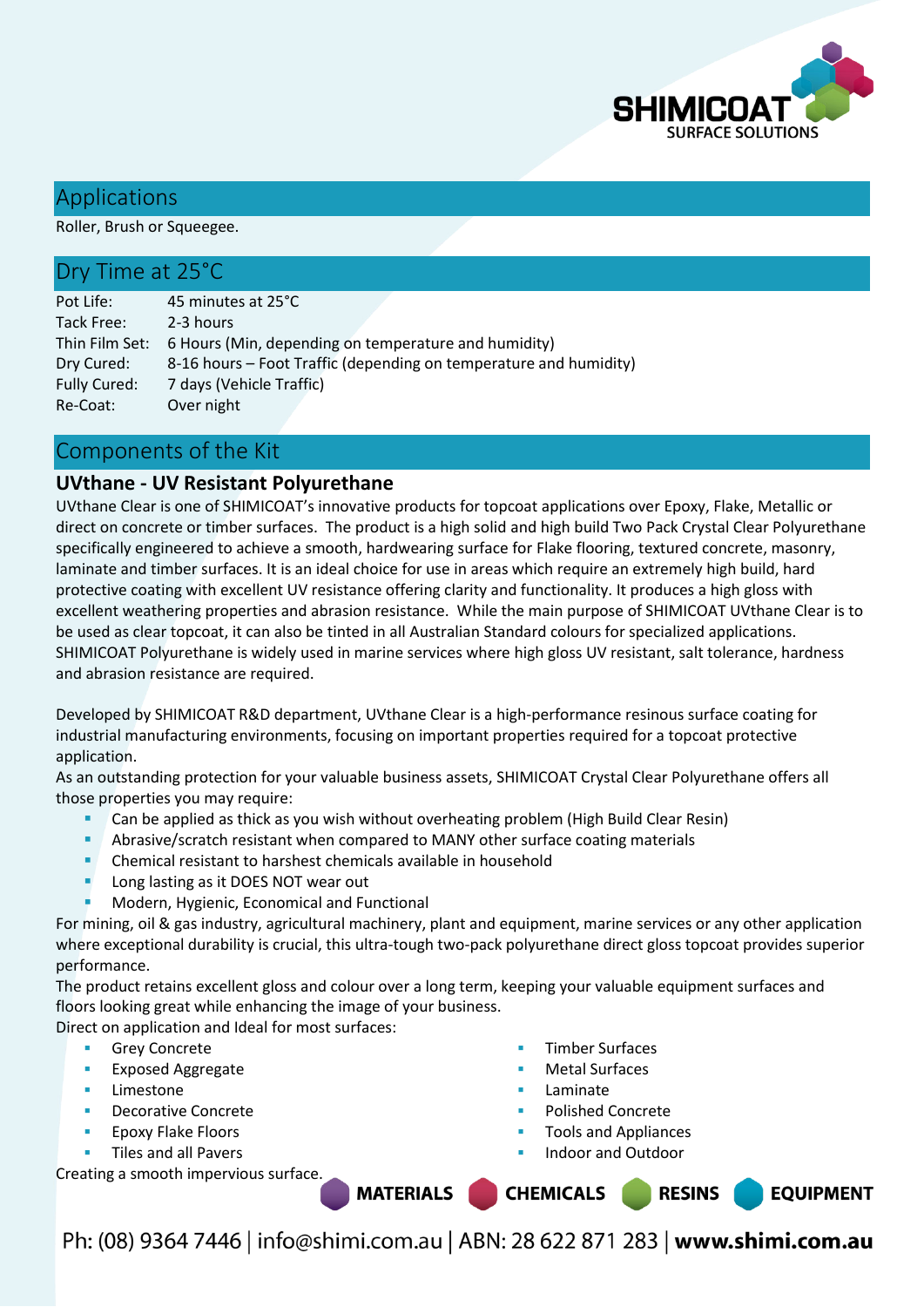

## Applications

Roller, Brush or Squeegee.

## Dry Time at 25°C

| Pot Life:           | 45 minutes at 25°C                                                  |
|---------------------|---------------------------------------------------------------------|
| Tack Free:          | 2-3 hours                                                           |
|                     | Thin Film Set: 6 Hours (Min, depending on temperature and humidity) |
| Dry Cured:          | 8-16 hours – Foot Traffic (depending on temperature and humidity)   |
| <b>Fully Cured:</b> | 7 days (Vehicle Traffic)                                            |
| Re-Coat:            | Over night                                                          |

## Components of the Kit

## **UVthane - UV Resistant Polyurethane**

UVthane Clear is one of SHIMICOAT's innovative products for topcoat applications over Epoxy, Flake, Metallic or direct on concrete or timber surfaces. The product is a high solid and high build Two Pack Crystal Clear Polyurethane specifically engineered to achieve a smooth, hardwearing surface for Flake flooring, textured concrete, masonry, laminate and timber surfaces. It is an ideal choice for use in areas which require an extremely high build, hard protective coating with excellent UV resistance offering clarity and functionality. It produces a high gloss with excellent weathering properties and abrasion resistance. While the main purpose of SHIMICOAT UVthane Clear is to be used as clear topcoat, it can also be tinted in all Australian Standard colours for specialized applications. SHIMICOAT Polyurethane is widely used in marine services where high gloss UV resistant, salt tolerance, hardness and abrasion resistance are required.

Developed by SHIMICOAT R&D department, UVthane Clear is a high-performance resinous surface coating for industrial manufacturing environments, focusing on important properties required for a topcoat protective application.

As an outstanding protection for your valuable business assets, SHIMICOAT Crystal Clear Polyurethane offers all those properties you may require:

- Can be applied as thick as you wish without overheating problem (High Build Clear Resin)
- Abrasive/scratch resistant when compared to MANY other surface coating materials
- **EXECTE Chemical resistant to harshest chemicals available in household**
- Long lasting as it DOES NOT wear out
- Modern, Hygienic, Economical and Functional

For mining, oil & gas industry, agricultural machinery, plant and equipment, marine services or any other application where exceptional durability is crucial, this ultra-tough two-pack polyurethane direct gloss topcoat provides superior performance.

The product retains excellent gloss and colour over a long term, keeping your valuable equipment surfaces and floors looking great while enhancing the image of your business.

Direct on application and Ideal for most surfaces:

- **Grey Concrete**
- **Exposed Aggregate**
- Limestone
- Decorative Concrete
- Epoxy Flake Floors
- Tiles and all Pavers

Creating a smooth impervious surface.

- Timber Surfaces
- Metal Surfaces
- Laminate
- Polished Concrete
- Tools and Appliances
- Indoor and Outdoor

**CHEMICALS RESINS MATERIALS EQUIPMENT**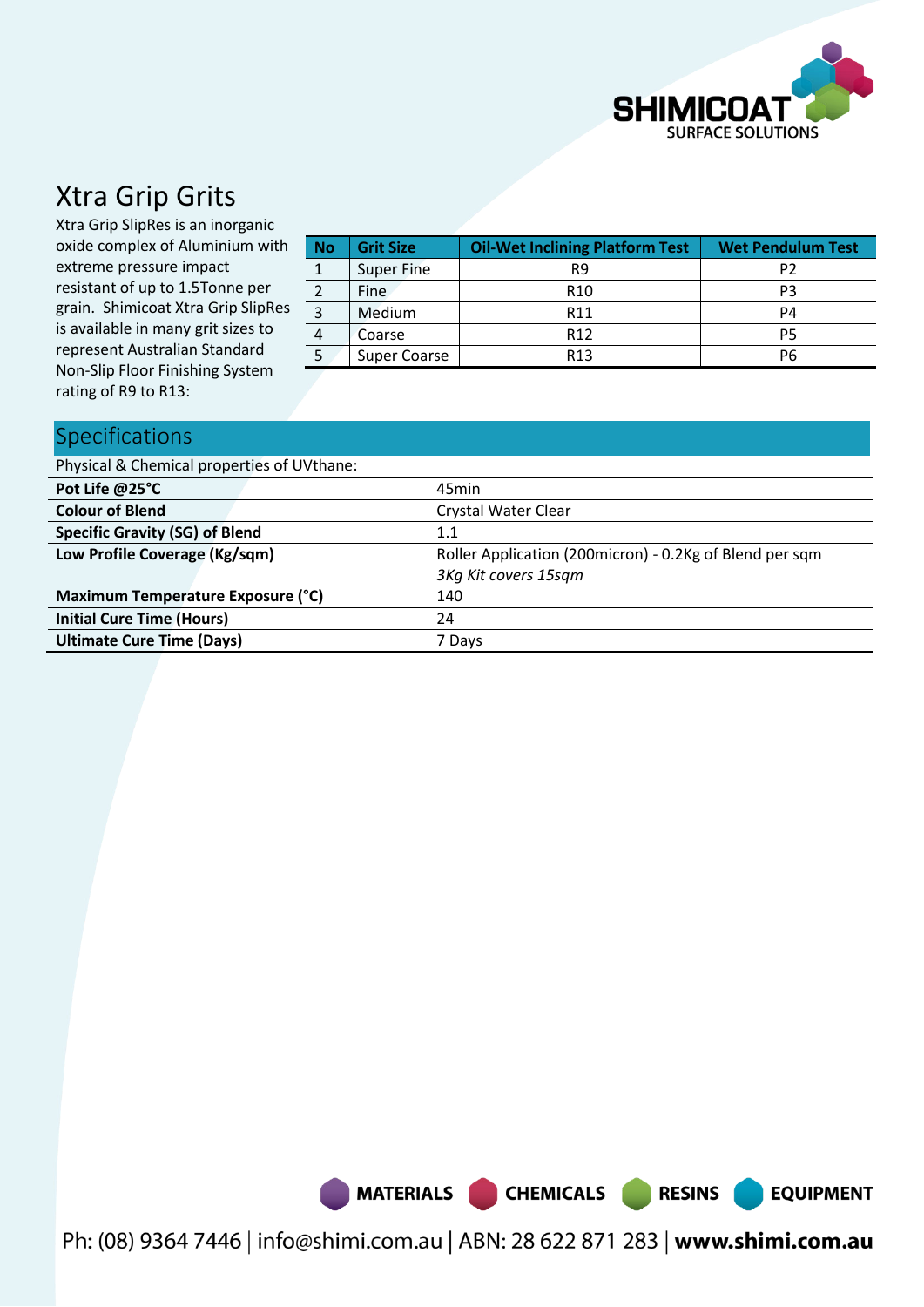

# Xtra Grip Grits

Xtra Grip SlipRes is an inorganic oxide complex of Aluminium with extreme pressure impact resistant of up to 1.5Tonne per grain. Shimicoat Xtra Grip SlipRes is available in many grit sizes to represent Australian Standard Non-Slip Floor Finishing System rating of R9 to R13:

| <b>No</b>      | <b>Grit Size</b>    | <b>Oil-Wet Inclining Platform Test</b> | <b>Wet Pendulum Test</b> |  |
|----------------|---------------------|----------------------------------------|--------------------------|--|
|                | <b>Super Fine</b>   | R9                                     |                          |  |
|                | <b>Fine</b>         | R <sub>10</sub>                        | PЗ                       |  |
| $\overline{3}$ | Medium              | R <sub>11</sub>                        | P4                       |  |
| 4              | Coarse              | R <sub>12</sub>                        | P5                       |  |
| 5              | <b>Super Coarse</b> | R <sub>13</sub>                        | P6                       |  |

## Specifications

Physical & Chemical properties of UVthane:

| Pot Life @25°C                        | 45min                                                   |  |  |
|---------------------------------------|---------------------------------------------------------|--|--|
| <b>Colour of Blend</b>                | <b>Crystal Water Clear</b>                              |  |  |
| <b>Specific Gravity (SG) of Blend</b> | 1.1                                                     |  |  |
| Low Profile Coverage (Kg/sqm)         | Roller Application (200micron) - 0.2Kg of Blend per sqm |  |  |
|                                       | 3Kg Kit covers 15sgm                                    |  |  |
| Maximum Temperature Exposure (°C)     | 140                                                     |  |  |
| <b>Initial Cure Time (Hours)</b>      | 24                                                      |  |  |
| <b>Ultimate Cure Time (Days)</b>      | 7 Davs                                                  |  |  |



Ph: (08) 9364 7446 | info@shimi.com.au | ABN: 28 622 871 283 | www.shimi.com.au

**RESINS** 

**EQUIPMENT**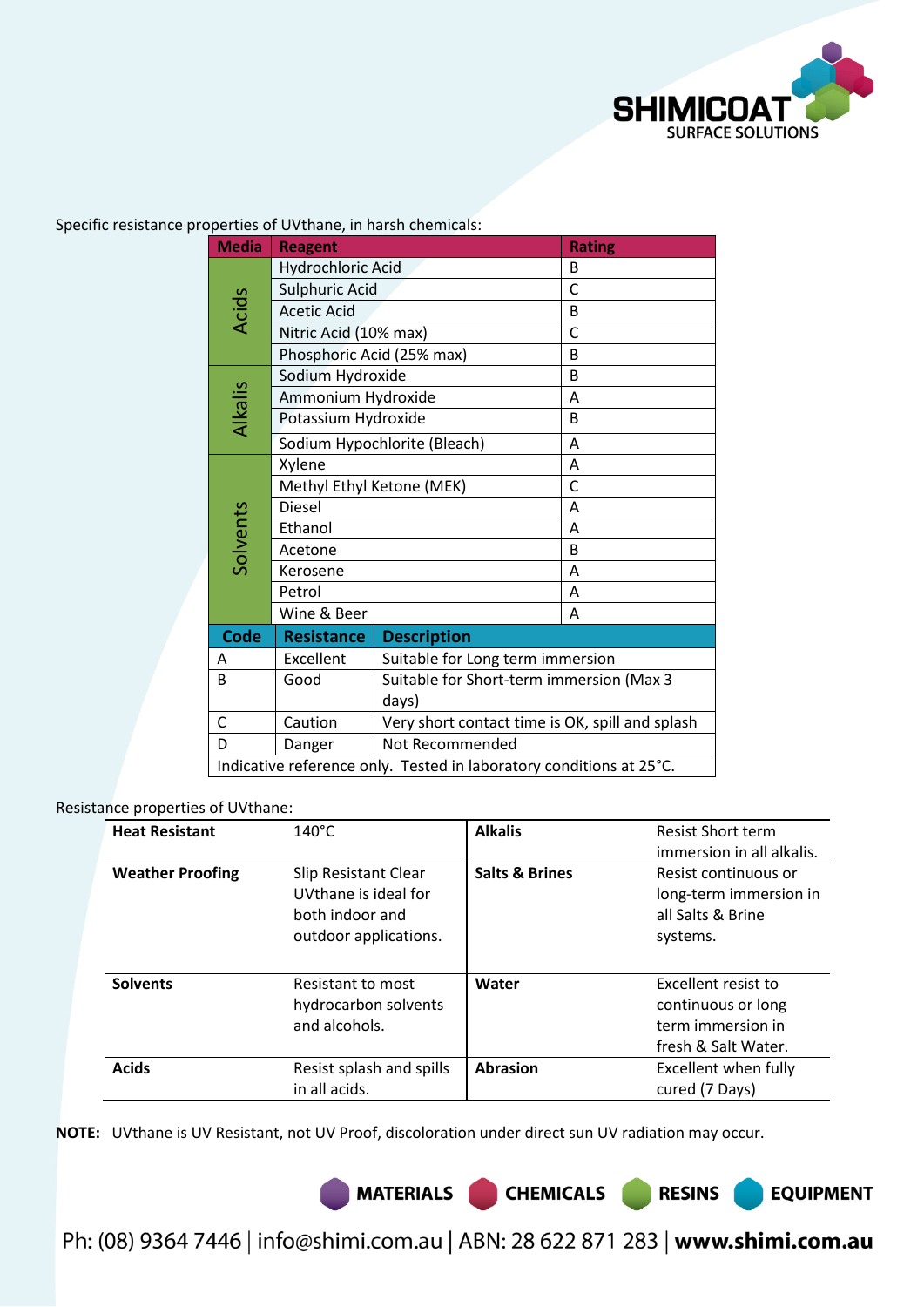

**EQUIPMENT** 

Specific resistance properties of UVthane, in harsh chemicals:

| <b>Media</b>                                                        | <b>Reagent</b>            | <b>Rating</b>                                   |   |  |
|---------------------------------------------------------------------|---------------------------|-------------------------------------------------|---|--|
|                                                                     | Hydrochloric Acid         | B                                               |   |  |
|                                                                     | Sulphuric Acid            | $\mathsf{C}$                                    |   |  |
| <b>Acids</b>                                                        | <b>Acetic Acid</b>        | B                                               |   |  |
|                                                                     | Nitric Acid (10% max)     |                                                 | C |  |
|                                                                     | Phosphoric Acid (25% max) |                                                 | B |  |
|                                                                     | Sodium Hydroxide          |                                                 | B |  |
|                                                                     | Ammonium Hydroxide        |                                                 | A |  |
| Alkalis                                                             | Potassium Hydroxide       |                                                 | B |  |
|                                                                     |                           | Sodium Hypochlorite (Bleach)                    | A |  |
|                                                                     | Xylene                    | A                                               |   |  |
|                                                                     | Methyl Ethyl Ketone (MEK) | C                                               |   |  |
|                                                                     | <b>Diesel</b>             | A                                               |   |  |
|                                                                     | Ethanol                   | A                                               |   |  |
| Solvents                                                            | Acetone                   | B                                               |   |  |
|                                                                     | Kerosene                  | A                                               |   |  |
|                                                                     | Petrol                    | A                                               |   |  |
|                                                                     | Wine & Beer               |                                                 | A |  |
| Code                                                                | <b>Resistance</b>         | <b>Description</b>                              |   |  |
| A                                                                   | Excellent                 | Suitable for Long term immersion                |   |  |
| B                                                                   | Good                      | Suitable for Short-term immersion (Max 3        |   |  |
|                                                                     |                           | days)                                           |   |  |
| $\mathsf C$                                                         | Caution                   | Very short contact time is OK, spill and splash |   |  |
| D                                                                   | Danger                    | Not Recommended                                 |   |  |
| Indicative reference only. Tested in laboratory conditions at 25°C. |                           |                                                 |   |  |

### Resistance properties of UVthane:

| <b>Heat Resistant</b>   | $140^{\circ}$ C                                                                                 | <b>Alkalis</b>            | <b>Resist Short term</b><br>immersion in all alkalis.                                 |
|-------------------------|-------------------------------------------------------------------------------------------------|---------------------------|---------------------------------------------------------------------------------------|
| <b>Weather Proofing</b> | <b>Slip Resistant Clear</b><br>UVthane is ideal for<br>both indoor and<br>outdoor applications. | <b>Salts &amp; Brines</b> | Resist continuous or<br>long-term immersion in<br>all Salts & Brine<br>systems.       |
| <b>Solvents</b>         | Resistant to most<br>hydrocarbon solvents<br>and alcohols.                                      | Water                     | Excellent resist to<br>continuous or long<br>term immersion in<br>fresh & Salt Water. |
| <b>Acids</b>            | Resist splash and spills<br>in all acids.                                                       | <b>Abrasion</b>           | Excellent when fully<br>cured (7 Days)                                                |

**NOTE:** UVthane is UV Resistant, not UV Proof, discoloration under direct sun UV radiation may occur.

MATERIALS CHEMICALS RESINS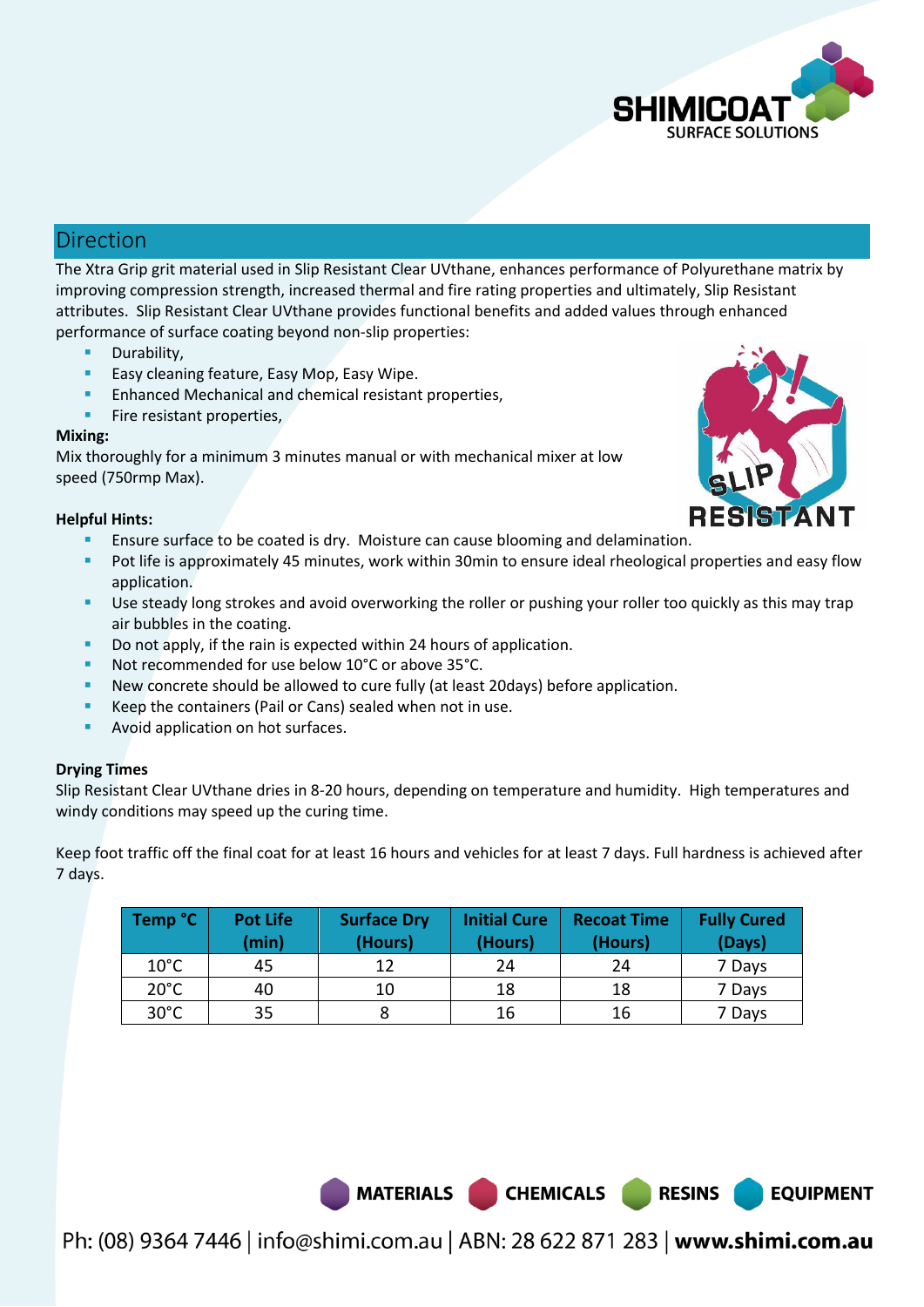

## Direction

The Xtra Grip grit material used in Slip Resistant Clear UVthane, enhances performance of Polyurethane matrix by improving compression strength, increased thermal and fire rating properties and ultimately, Slip Resistant attributes. Slip Resistant Clear UVthane provides functional benefits and added values through enhanced performance of surface coating beyond non-slip properties:

- Durability,
- Easy cleaning feature, Easy Mop, Easy Wipe.
- Enhanced Mechanical and chemical resistant properties,
- **Fire resistant properties,**

### **Mixing:**

Mix thoroughly for a minimum 3 minutes manual or with mechanical mixer at low speed (750rmp Max).

### **Helpful Hints:**

- Ensure surface to be coated is dry. Moisture can cause blooming and delamination.
- Pot life is approximately 45 minutes, work within 30min to ensure ideal rheological properties and easy flow application.
- Use steady long strokes and avoid overworking the roller or pushing your roller too quickly as this may trap air bubbles in the coating.
- Do not apply, if the rain is expected within 24 hours of application.
- Not recommended for use below 10°C or above 35°C.
- New concrete should be allowed to cure fully (at least 20days) before application.
- Keep the containers (Pail or Cans) sealed when not in use.
- Avoid application on hot surfaces.

### **Drying Times**

Slip Resistant Clear UVthane dries in 8-20 hours, depending on temperature and humidity. High temperatures and windy conditions may speed up the curing time.

Keep foot traffic off the final coat for at least 16 hours and vehicles for at least 7 days. Full hardness is achieved after 7 days.

| Temp °C        | <b>Pot Life</b><br>(min) | <b>Surface Dry</b><br>(Hours) | <b>Initial Cure</b><br>(Hours) | <b>Recoat Time</b><br>(Hours) | <b>Fully Cured</b><br>(Days) |
|----------------|--------------------------|-------------------------------|--------------------------------|-------------------------------|------------------------------|
| $10^{\circ}$ C | 45                       | 12                            | 24                             | 24                            | 7 Days                       |
| $20^{\circ}$ C | 40                       | 10                            | 18                             | 18                            | 7 Days                       |
| $30^{\circ}$ C | 35                       |                               | 16                             | 16                            | 7 Days                       |

MATERIALS CHEMICALS

**RESINS** 

**EQUIPMENT**